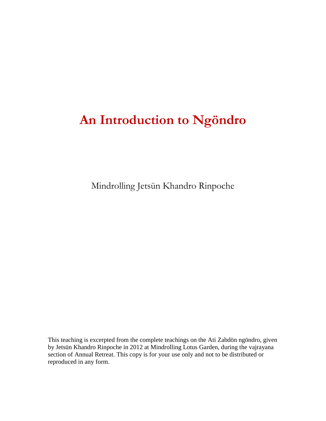# **An Introduction to Ngöndro**

Mindrolling Jetsün Khandro Rinpoche

This teaching is excerpted from the complete teachings on the Ati Zabdön ngöndro, given by Jetsün Khandro Rinpoche in 2012 at Mindrolling Lotus Garden, during the vajrayana section of Annual Retreat. This copy is for your use only and not to be distributed or reproduced in any form.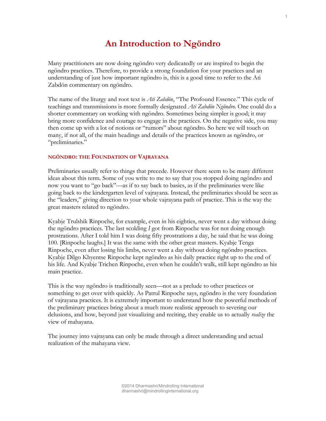# **An Introduction to Ngöndro**

Many practitioners are now doing ngöndro very dedicatedly or are inspired to begin the ngöndro practices. Therefore, to provide a strong foundation for your practices and an understanding of just how important ngöndro is, this is a good time to refer to the Ati Zabdön commentary on ngöndro.

The name of the liturgy and root text is *Ati Zabdön*, "The Profound Essence." This cycle of teachings and transmissions is more formally designated *Ati Zabdön Ngöndro*. One could do a shorter commentary on working with ngöndro. Sometimes being simpler is good; it may bring more confidence and courage to engage in the practices. On the negative side, you may then come up with a lot of notions or "rumors" about ngöndro. So here we will touch on many, if not all, of the main headings and details of the practices known as ngöndro, or "preliminaries."

#### **NGÖNDRO: THE FOUNDATION OF VAJRAYANA**

Preliminaries usually refer to things that precede. However there seem to be many different ideas about this term. Some of you write to me to say that you stopped doing ngöndro and now you want to "go back"—as if to say back to basics, as if the preliminaries were like going back to the kindergarten level of vajrayana. Instead, the preliminaries should be seen as the "leaders," giving direction to your whole vajrayana path of practice. This is the way the great masters related to ngöndro.

Kyabje Trulshik Rinpoche, for example, even in his eighties, never went a day without doing the ngöndro practices. The last scolding *I* got from Rinpoche was for not doing enough prostrations. After I told him I was doing fifty prostrations a day, he said that he was doing 100. [Rinpoche laughs.] It was the same with the other great masters. Kyabje Tenga Rinpoche, even after losing his limbs, never went a day without doing ngöndro practices. Kyabje Dilgo Khyentse Rinpoche kept ngöndro as his daily practice right up to the end of his life. And Kyabje Trichen Rinpoche, even when he couldn't walk, still kept ngöndro as his main practice.

This is the way ngöndro is traditionally seen—not as a prelude to other practices or something to get over with quickly. As Patrul Rinpoche says, ngöndro is the very foundation of vajrayana practices. It is extremely important to understand how the powerful methods of the preliminary practices bring about a much more realistic approach to severing our delusions, and how, beyond just visualizing and reciting, they enable us to actually *realize* the view of mahayana.

The journey into vajrayana can only be made through a direct understanding and actual realization of the mahayana view.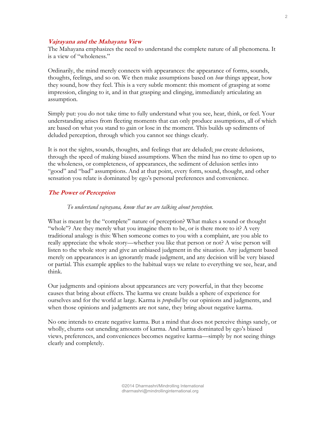# **Vajrayana and the Mahayana View**

The Mahayana emphasizes the need to understand the complete nature of all phenomena. It is a view of "wholeness."

Ordinarily, the mind merely connects with appearances: the appearance of forms, sounds, thoughts, feelings, and so on. We then make assumptions based on *how* things appear, how they sound, how they feel. This is a very subtle moment: this moment of grasping at some impression, clinging to it, and in that grasping and clinging, immediately articulating an assumption.

Simply put: you do not take time to fully understand what you see, hear, think, or feel. Your understanding arises from fleeting moments that can only produce assumptions, all of which are based on what you stand to gain or lose in the moment. This builds up sediments of deluded perception, through which you cannot see things clearly.

It is not the sights, sounds, thoughts, and feelings that are deluded; *you* create delusions, through the speed of making biased assumptions. When the mind has no time to open up to the wholeness, or completeness, of appearances, the sediment of delusion settles into "good" and "bad" assumptions. And at that point, every form, sound, thought, and other sensation you relate is dominated by ego's personal preferences and convenience.

# **The Power of Perception**

#### *To understand vajrayana, know that we are talking about perception.*

What is meant by the "complete" nature of perception? What makes a sound or thought "whole"? Are they merely what you imagine them to be, or is there more to it? A very traditional analogy is this: When someone comes to you with a complaint, are you able to really appreciate the whole story—whether you like that person or not? A wise person will listen to the whole story and give an unbiased judgment in the situation. Any judgment based merely on appearances is an ignorantly made judgment, and any decision will be very biased or partial. This example applies to the habitual ways we relate to everything we see, hear, and think.

Our judgments and opinions about appearances are very powerful, in that they become causes that bring about effects. The karma we create builds a sphere of experience for ourselves and for the world at large. Karma is *propelled* by our opinions and judgments, and when those opinions and judgments are not sane, they bring about negative karma.

No one intends to create negative karma. But a mind that does not perceive things sanely, or wholly, churns out unending amounts of karma. And karma dominated by ego's biased views, preferences, and conveniences becomes negative karma—simply by not seeing things clearly and completely.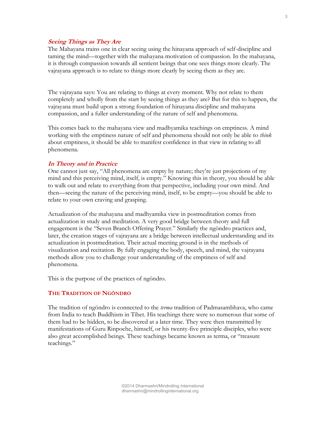# **Seeing Things as They Are**

The Mahayana trains one in clear seeing using the hinayana approach of self-discipline and taming the mind—together with the mahayana motivation of compassion. In the mahayana, it is through compassion towards all sentient beings that one sees things more clearly. The vajrayana approach is to relate to things more clearly by seeing them as they are.

The vajrayana says: You are relating to things at every moment. Why not relate to them completely and wholly from the start by seeing things as they are? But for this to happen, the vajrayana must build upon a strong foundation of hinayana discipline and mahayana compassion, and a fuller understanding of the nature of self and phenomena.

This comes back to the mahayana view and madhyamika teachings on emptiness. A mind working with the emptiness nature of self and phenomena should not only be able to *think* about emptiness, it should be able to manifest confidence in that view in relating to all phenomena.

# **In Theory and in Practice**

One cannot just say, "All phenomena are empty by nature; they're just projections of my mind and this perceiving mind, itself, is empty." Knowing this in theory, you should be able to walk out and relate to everything from that perspective, including your own mind. And then—seeing the nature of the perceiving mind, itself, to be empty—you should be able to relate to your own craving and grasping.

Actualization of the mahayana and madhyamika view in postmeditation comes from actualization in study and meditation. A very good bridge between theory and full engagement is the "Seven Branch Offering Prayer." Similarly the ngöndro practices and, later, the creation stages of vajrayana are a bridge between intellectual understanding and its actualization in postmeditation. Their actual meeting ground is in the methods of visualization and recitation. By fully engaging the body, speech, and mind, the vajrayana methods allow you to challenge your understanding of the emptiness of self and phenomena.

This is the purpose of the practices of ngöndro.

#### **THE TRADITION OF NGÖNDRO**

The tradition of ngöndro is connected to the *terma* tradition of Padmasambhava, who came from India to teach Buddhism in Tibet. His teachings there were so numerous that some of them had to be hidden, to be discovered at a later time. They were then transmitted by manifestations of Guru Rinpoche, himself, or his twenty-five principle disciples, who were also great accomplished beings. These teachings became known as terma, or "treasure teachings."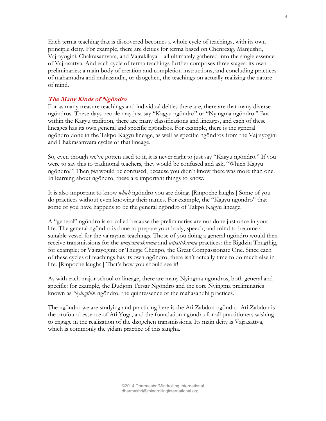Each terma teaching that is discovered becomes a whole cycle of teachings, with its own principle deity. For example, there are deities for terma based on Chenrezig, Manjushri, Vajrayogini, Chakrasamvara, and Vajrakilaya—all ultimately gathered into the single essence of Vajrasattva. And each cycle of terma teachings further comprises three stages: its own preliminaries; a main body of creation and completion instructions; and concluding practices of mahamudra and mahasandhi, or dzogchen, the teachings on actually realizing the nature of mind.

# **The Many Kinds of Ngöndro**

For as many treasure teachings and individual deities there are, there are that many diverse ngöndros. These days people may just say "Kagyu ngöndro" or "Nyingma ngöndro." But within the Kagyu tradition, there are many classifications and lineages, and each of these lineages has its own general and specific ngöndros. For example, there is the general ngöndro done in the Takpo Kagyu lineage, as well as specific ngöndros from the Vajrayogini and Chakrasamvara cycles of that lineage.

So, even though we've gotten used to it, it is never right to just say "Kagyu ngöndro." If you were to say this to traditional teachers, they would be confused and ask, "Which Kagyu ngöndro?" Then *you* would be confused, because you didn't know there was more than one. In learning about ngöndro, these are important things to know.

It is also important to know *which* ngöndro you are doing. [Rinpoche laughs.] Some of you do practices without even knowing their names. For example, the "Kagyu ngöndro" that some of you have happens to be the general ngöndro of Takpo Kagyu lineage.

A "general" ngöndro is so-called because the preliminaries are not done just once in your life. The general ngöndro is done to prepare your body, speech, and mind to become a suitable vessel for the vajrayana teachings. Those of you doing a general ngöndro would then receive transmissions for the *sampannakrama* and *utpattikrama* practices: the Rigdzin Thugthig, for example; or Vajrayogini; or Thugje Chenpo, the Great Compassionate One. Since each of these cycles of teachings has its own ngöndro, there isn't actually time to do much else in life. [Rinpoche laughs.] That's how you should see it!

As with each major school or lineage, there are many Nyingma ngöndros, both general and specific: for example, the Dudjom Tersar Ngöndro and the core Nyingma preliminaries known as *Nyingthik* ngöndro: the quintessence of the mahasandhi practices.

The ngöndro we are studying and practicing here is the Ati Zabdon ngöndro. Ati Zabdon is the profound essence of Ati Yoga, and the foundation ngöndro for all practitioners wishing to engage in the realization of the dzogchen transmissions. Its main deity is Vajrasattva, which is commonly the yidam practice of this sangha.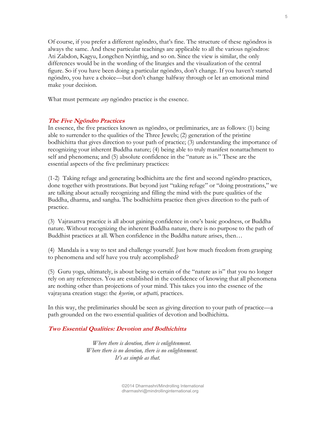Of course, if you prefer a different ngöndro, that's fine. The structure of these ngöndros is always the same. And these particular teachings are applicable to all the various ngöndros: Ati Zabdon, Kagyu, Longchen Nyinthig, and so on. Since the view is similar, the only differences would be in the wording of the liturgies and the visualization of the central figure. So if you have been doing a particular ngöndro, don't change. If you haven't started ngöndro, you have a choice—but don't change halfway through or let an emotional mind make your decision.

What must permeate *any* ngöndro practice is the essence.

# **The Five Ngöndro Practices**

In essence, the five practices known as ngöndro, or preliminaries, are as follows: (1) being able to surrender to the qualities of the Three Jewels; (2) generation of the pristine bodhichitta that gives direction to your path of practice; (3) understanding the importance of recognizing your inherent Buddha nature; (4) being able to truly manifest nonattachment to self and phenomena; and (5) absolute confidence in the "nature as is." These are the essential aspects of the five preliminary practices:

(1-2) Taking refuge and generating bodhichitta are the first and second ngöndro practices, done together with prostrations. But beyond just "taking refuge" or "doing prostrations," we are talking about actually recognizing and filling the mind with the pure qualities of the Buddha, dharma, and sangha. The bodhichitta practice then gives direction to the path of practice.

(3) Vajrasattva practice is all about gaining confidence in one's basic goodness, or Buddha nature. Without recognizing the inherent Buddha nature, there is no purpose to the path of Buddhist practices at all. When confidence in the Buddha nature arises, then…

(4) Mandala is a way to test and challenge yourself. Just how much freedom from grasping to phenomena and self have you truly accomplished?

(5) Guru yoga, ultimately, is about being so certain of the "nature as is" that you no longer rely on any references. You are established in the confidence of knowing that all phenomena are nothing other than projections of your mind. This takes you into the essence of the vajrayana creation stage: the *kyerim*, or *utpatti,* practices.

In this way, the preliminaries should be seen as giving direction to your path of practice—a path grounded on the two essential qualities of devotion and bodhichitta.

#### **Two Essential Qualities: Devotion and Bodhichitta**

 *Where there is devotion, there is enlightenment. Where there is no devotion, there is no enlightenment. It's as simple as that.*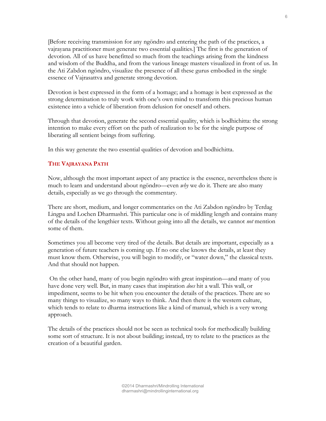[Before receiving transmission for any ngöndro and entering the path of the practices, a vajrayana practitioner must generate two essential qualities.] The first is the generation of devotion. All of us have benefitted so much from the teachings arising from the kindness and wisdom of the Buddha, and from the various lineage masters visualized in front of us. In the Ati Zabdon ngöndro, visualize the presence of all these gurus embodied in the single essence of Vajrasattva and generate strong devotion.

Devotion is best expressed in the form of a homage; and a homage is best expressed as the strong determination to truly work with one's own mind to transform this precious human existence into a vehicle of liberation from delusion for oneself and others.

Through that devotion, generate the second essential quality, which is bodhichitta: the strong intention to make every effort on the path of realization to be for the single purpose of liberating all sentient beings from suffering.

In this way generate the two essential qualities of devotion and bodhichitta.

# **THE VAJRAYANA PATH**

Now, although the most important aspect of any practice is the essence, nevertheless there is much to learn and understand about ngöndro—even *why* we do it. There are also many details, especially as we go through the commentary.

There are short, medium, and longer commentaries on the Ati Zabdon ngöndro by Terdag Lingpa and Lochen Dharmashri. This particular one is of middling length and contains many of the details of the lengthier texts. Without going into all the details, we cannot *not* mention some of them.

Sometimes you all become very tired of the details. But details are important, especially as a generation of future teachers is coming up. If no one else knows the details, at least they must know them. Otherwise, you will begin to modify, or "water down," the classical texts. And that should not happen.

On the other hand, many of you begin ngöndro with great inspiration—and many of you have done very well. But, in many cases that inspiration *does* hit a wall. This wall, or impediment, seems to be hit when you encounter the details of the practices. There are so many things to visualize, so many ways to think. And then there is the western culture, which tends to relate to dharma instructions like a kind of manual, which is a very wrong approach.

The details of the practices should not be seen as technical tools for methodically building some sort of structure. It is not about building; instead, try to relate to the practices as the creation of a beautiful garden.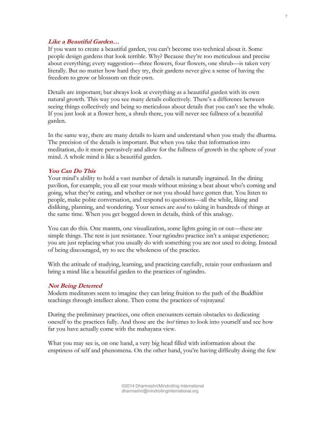# **Like a Beautiful Garden…**

If you want to create a beautiful garden, you can't become too technical about it. Some people design gardens that look terrible. Why? Because they're too meticulous and precise about everything; every suggestion—three flowers, four flowers, one shrub—is taken very literally. But no matter how hard they try, their gardens never give a sense of having the freedom to grow or blossom on their own.

Details are important; but always look at everything as a beautiful garden with its own natural growth. This way you see many details collectively. There's a difference between seeing things collectively and being so meticulous about details that you can't see the whole. If you just look at a flower here, a shrub there, you will never see fullness of a beautiful garden.

In the same way, there are many details to learn and understand when you study the dharma. The precision of the details is important. But when you take that information into meditation, do it more pervasively and allow for the fullness of growth in the sphere of your mind. A whole mind is like a beautiful garden.

# **You Can Do This**

Your mind's ability to hold a vast number of details is naturally ingrained. In the dining pavilion, for example, you all eat your meals without missing a beat about who's coming and going, what they're eating, and whether or not you should have gotten that. You listen to people, make polite conversation, and respond to questions—all the while, liking and disliking, planning, and wondering. Your senses are *used* to taking in hundreds of things at the same time. When you get bogged down in details, think of this analogy.

You can do this. One mantra, one visualization, some lights going in or out—these are simple things. The rest is just resistance. Your ngöndro practice isn't a unique experience; you are just replacing what you usually do with something you are not used to doing. Instead of being discouraged, try to see the wholeness of the practice.

With the attitude of studying, learning, and practicing carefully, retain your enthusiasm and bring a mind like a beautiful garden to the practices of ngöndro.

# **Not Being Deterred**

Modern meditators seem to imagine they can bring fruition to the path of the Buddhist teachings through intellect alone. Then come the practices of vajrayana!

During the preliminary practices, one often encounters certain obstacles to dedicating oneself to the practices fully. And those are the *best* times to look into yourself and see how far you have actually come with the mahayana view.

What you may see is, on one hand, a very big head filled with information about the emptiness of self and phenomena. On the other hand, you're having difficulty doing the few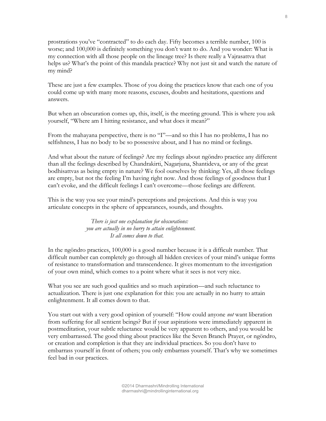prostrations you've "contracted" to do each day. Fifty becomes a terrible number, 100 is worse; and 100,000 is definitely something you don't want to do. And you wonder: What is my connection with all those people on the lineage tree? Is there really a Vajrasattva that helps us? What's the point of this mandala practice? Why not just sit and watch the nature of my mind?

These are just a few examples. Those of you doing the practices know that each one of you could come up with many more reasons, excuses, doubts and hesitations, questions and answers.

But when an obscuration comes up, this, itself, is the meeting ground. This is where you ask yourself, "Where am I hitting resistance, and what does it mean?"

From the mahayana perspective, there is no "I"—and so this I has no problems, I has no selfishness, I has no body to be so possessive about, and I has no mind or feelings.

And what about the nature of feelings? Are my feelings about ngöndro practice any different than all the feelings described by Chandrakirti, Nagarjuna, Shantideva, or any of the great bodhisattvas as being empty in nature? We fool ourselves by thinking: Yes, all those feelings are empty, but not the feeling I'm having right now. And those feelings of goodness that I can't evoke, and the difficult feelings I can't overcome—those feelings are different.

This is the way you see your mind's perceptions and projections. And this is way you articulate concepts in the sphere of appearances, sounds, and thoughts.

> *There is just one explanation for obscurations: you are actually in no hurry to attain enlightenment. It all comes down to that.*

In the ngöndro practices, 100,000 is a good number because it is a difficult number. That difficult number can completely go through all hidden crevices of your mind's unique forms of resistance to transformation and transcendence. It gives momentum to the investigation of your own mind, which comes to a point where what it sees is not very nice.

What you see are such good qualities and so much aspiration—and such reluctance to actualization. There is just one explanation for this: you are actually in no hurry to attain enlightenment. It all comes down to that.

You start out with a very good opinion of yourself: "How could anyone *not* want liberation from suffering for all sentient beings? But if your aspirations were immediately apparent in postmeditation, your subtle reluctance would be very apparent to others, and you would be very embarrassed. The good thing about practices like the Seven Branch Prayer, or ngöndro, or creation and completion is that they are individual practices. So you don't have to embarrass yourself in front of others; you only embarrass yourself. That's why we sometimes feel bad in our practices.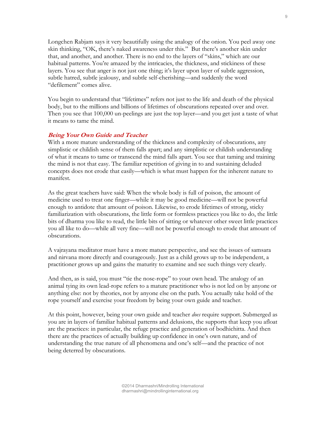Longchen Rabjam says it very beautifully using the analogy of the onion. You peel away one skin thinking, "OK, there's naked awareness under this." But there's another skin under that, and another, and another. There is no end to the layers of "skins," which are our habitual patterns. You're amazed by the intricacies, the thickness, and stickiness of these layers. You see that anger is not just one thing; it's layer upon layer of subtle aggression, subtle hatred, subtle jealousy, and subtle self-cherishing—and suddenly the word "defilement" comes alive.

You begin to understand that "lifetimes" refers not just to the life and death of the physical body, but to the millions and billions of lifetimes of obscurations repeated over and over. Then you see that 100,000 un-peelings are just the top layer—and you get just a taste of what it means to tame the mind.

# **Being Your Own Guide and Teacher**

With a more mature understanding of the thickness and complexity of obscurations, any simplistic or childish sense of them falls apart; and any simplistic or childish understanding of what it means to tame or transcend the mind falls apart. You see that taming and training the mind is not that easy. The familiar repetition of giving in to and sustaining deluded concepts does not erode that easily—which is what must happen for the inherent nature to manifest.

As the great teachers have said: When the whole body is full of poison, the amount of medicine used to treat one finger—while it may be good medicine—will not be powerful enough to antidote that amount of poison. Likewise, to erode lifetimes of strong, sticky familiarization with obscurations, the little form or formless practices you like to do, the little bits of dharma you like to read, the little bits of sitting or whatever other sweet little practices you all like to do—while all very fine—will not be powerful enough to erode that amount of obscurations.

A vajrayana meditator must have a more mature perspective, and see the issues of samsara and nirvana more directly and courageously. Just as a child grows up to be independent, a practitioner grows up and gains the maturity to examine and see such things very clearly.

And then, as is said, you must "tie the nose-rope" to your own head. The analogy of an animal tying its own lead-rope refers to a mature practitioner who is not led on by anyone or anything else: not by theories, not by anyone else on the path. You actually take hold of the rope yourself and exercise your freedom by being your own guide and teacher.

At this point, however, being your own guide and teacher *does* require support. Submerged as you are in layers of familiar habitual patterns and delusions, the supports that keep you afloat are the practices: in particular, the refuge practice and generation of bodhichitta. And then there are the practices of actually building up confidence in one's own nature, and of understanding the true nature of all phenomena and one's self—and the practice of not being deterred by obscurations.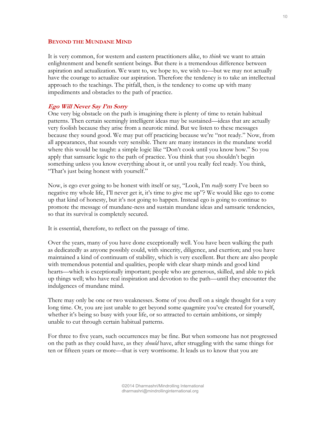#### **BEYOND THE MUNDANE MIND**

It is very common, for western and eastern practitioners alike, to *think* we want to attain enlightenment and benefit sentient beings. But there is a tremendous difference between aspiration and actualization. We want to, we hope to, we wish to—but we may not actually have the courage to actualize our aspiration. Therefore the tendency is to take an intellectual approach to the teachings. The pitfall, then, is the tendency to come up with many impediments and obstacles to the path of practice.

#### **Ego Will Never Say I'm Sorry**

One very big obstacle on the path is imagining there is plenty of time to retain habitual patterns. Then certain seemingly intelligent ideas may be sustained—ideas that are actually very foolish because they arise from a neurotic mind. But we listen to these messages because they sound good. We may put off practicing because we're "not ready." Now, from all appearances, that sounds very sensible. There are many instances in the mundane world where this would be taught: a simple logic like "Don't cook until you know how." So you apply that samsaric logic to the path of practice. You think that you shouldn't begin something unless you know everything about it, or until you really feel ready. You think, "That's just being honest with yourself."

Now, is ego ever going to be honest with itself or say, "Look, I'm *really* sorry I've been so negative my whole life, I'll never get it, it's time to give me up"? We would like ego to come up that kind of honesty, but it's not going to happen. Instead ego is going to continue to promote the message of mundane-ness and sustain mundane ideas and samsaric tendencies, so that its survival is completely secured.

It is essential, therefore, to reflect on the passage of time.

Over the years, many of you have done exceptionally well. You have been walking the path as dedicatedly as anyone possibly could, with sincerity, diligence, and exertion; and you have maintained a kind of continuum of stability, which is very excellent. But there are also people with tremendous potential and qualities, people with clear sharp minds and good kind hearts—which is exceptionally important; people who are generous, skilled, and able to pick up things well; who have real inspiration and devotion to the path—until they encounter the indulgences of mundane mind.

There may only be one or two weaknesses. Some of you dwell on a single thought for a very long time. Or, you are just unable to get beyond some quagmire you've created for yourself, whether it's being so busy with your life, or so attracted to certain ambitions, or simply unable to cut through certain habitual patterns.

For three to five years, such occurrences may be fine. But when someone has not progressed on the path as they could have, as they *should* have, after struggling with the same things for ten or fifteen years or more—that is very worrisome. It leads us to know that you are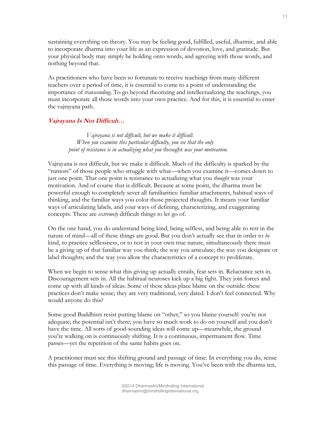sustaining everything on theory. You may be feeling good, fulfilled, useful, dharmic, and able to incorporate dharma into your life as an expression of devotion, love, and gratitude. But your physical body may simply be holding onto words, and agreeing with those words, and nothing beyond that.

As practitioners who have been so fortunate to receive teachings from many different teachers over a period of time, it is essential to come to a point of understanding the importance of *transcending*. To go beyond theorizing and intellectualizing the teachings, you must incorporate all those words into your own practice. And for this, it is essential to enter the vajrayana path.

# **Vajrayana Is Not Difficult…**

*Vajrayana is not difficult, but we make it difficult. When you examine this particular difficulty, you see that the only point of resistance is in actualizing what you* thought *was your motivation.* 

Vajrayana is not difficult, but we make it difficult. Much of the difficulty is sparked by the "rumors" of those people who struggle with what—when you examine it—comes down to just one point. That one point is resistance to actualizing what you *thought* was your motivation. And of course that is difficult. Because at some point, the dharma must be powerful enough to completely sever all familiarities: familiar attachments, habitual ways of thinking, and the familiar ways you color those projected thoughts. It means your familiar ways of articulating labels, and your ways of defining, characterizing, and exaggerating concepts. These are *extremely* difficult things to let go of.

On the one hand, you do understand being kind, being selfless, and being able to rest in the nature of mind—all of these things are good. But you don't actually see that in order to *be* kind, to practice selflessness, or to rest in your own true nature, simultaneously there must be a giving up of that familiar way you think; the way you articulate; the way you designate or label thoughts; and the way you allow the characteristics of a concept to proliferate.

When we begin to sense what this giving up actually entails, fear sets in. Reluctance sets in. Discouragement sets in. All the habitual neuroses kick up a big fight. They join forces and come up with all kinds of ideas. Some of these ideas place blame on the outside: these practices don't make sense; they are very traditional, very dated. I don't feel connected. Why would anyone do this?

Some good Buddhists resist putting blame on "other," so you blame yourself: you're not adequate; the potential isn't there; you have so much work to do on yourself and you don't have the time. All sorts of good-sounding ideas will come up—meanwhile, the ground you're walking on is continuously shifting. It is a continuous, impermanent flow. Time passes—yet the repetition of the same habits goes on.

A practitioner must see this shifting ground and passage of time. In everything you do, sense this passage of time. Everything is moving; life is moving. You've been with the dharma ten,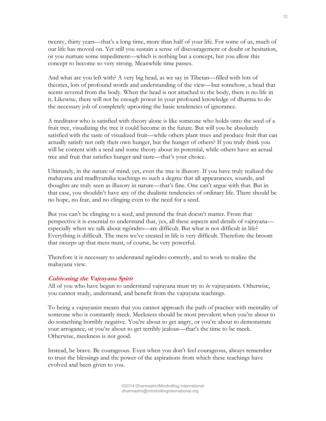twenty, thirty years—that's a long time, more than half of your life. For some of us, much of our life has moved on. Yet still you sustain a sense of discouragement or doubt or hesitation, or you nurture some impediment—which is nothing but a concept, but you allow this concept to become so very strong. Meanwhile time passes.

And what are you left with? A very big head, as we say in Tibetan—filled with lots of theories, lots of profound words and understanding of the view—but somehow, a head that seems severed from the body. When the head is not attached to the body, there is no life in it. Likewise, there will not be enough power in your profound knowledge of dharma to do the necessary job of completely uprooting the basic tendencies of ignorance.

A meditator who is satisfied with theory alone is like someone who holds onto the seed of a fruit tree, visualizing the tree it could become in the future. But will you be absolutely satisfied with the taste of visualized fruit—while others plant trees and produce fruit that can actually satisfy not only their own hunger, but the hunger of others? If you truly think you will be content with a seed and some theory about its potential, while others have an actual tree and fruit that satisfies hunger and taste—that's your choice.

Ultimately, in the nature of mind, yes, even the tree is illusory. If you have truly realized the mahayana and madhyamika teachings to such a degree that all appearances, sounds, and thoughts are truly seen as illusory in nature—that's fine. One can't argue with that. But in that case, you shouldn't have any of the dualistic tendencies of ordinary life. There should be no hope, no fear, and no clinging even to the need for a seed.

But you can't be clinging to a seed, and pretend the fruit doesn't matter. From that perspective it is essential to understand that, yes, all these aspects and details of vajrayana especially when we talk about ngöndro—are difficult. But what is not difficult in life? Everything is difficult. The mess we've created in life is very difficult. Therefore the broom that sweeps up that mess must, of course, be very powerful.

Therefore it is necessary to understand ngöndro correctly, and to work to realize the mahayana view.

# **Cultivating the Vajrayana Spirit**

All of you who have begun to understand vajrayana must try to *be* vajrayanists. Otherwise, you cannot study, understand, and benefit from the vajrayana teachings.

To being a vajrayanist means that you cannot approach the path of practice with mentality of someone who is constantly meek. Meekness should be most prevalent when you're about to do something horribly negative. You're about to get angry, or you're about to demonstrate your arrogance, or you're about to get terribly jealous—that's the time to be meek. Otherwise, meekness is not good.

Instead, be brave. Be courageous. Even when you don't feel courageous, always remember to trust the blessings and the power of the aspirations from which these teachings have evolved and been given to you.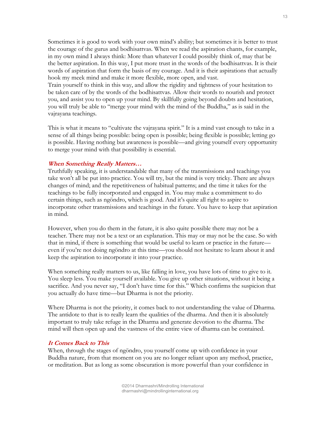Sometimes it is good to work with your own mind's ability; but sometimes it is better to trust the courage of the gurus and bodhisattvas. When we read the aspiration chants, for example, in my own mind I always think: More than whatever I could possibly think of, may that be the better aspiration. In this way, I put more trust in the words of the bodhisattvas. It is their words of aspiration that form the basis of my courage. And it is their aspirations that actually hook my meek mind and make it more flexible, more open, and vast.

Train yourself to think in this way, and allow the rigidity and tightness of your hesitation to be taken care of by the words of the bodhisattvas. Allow their words to nourish and protect you, and assist you to open up your mind. By skillfully going beyond doubts and hesitation, you will truly be able to "merge your mind with the mind of the Buddha," as is said in the vajrayana teachings.

This is what it means to "cultivate the vajrayana spirit." It is a mind vast enough to take in a sense of all things being possible: being open is possible; being flexible is possible; letting go is possible. Having nothing but awareness is possible—and giving yourself every opportunity to merge your mind with that possibility is essential.

# **When Something Really Matters…**

Truthfully speaking, it is understandable that many of the transmissions and teachings you take won't all be put into practice. You will try, but the mind is very tricky. There are always changes of mind; and the repetitiveness of habitual patterns; and the time it takes for the teachings to be fully incorporated and engaged in. You may make a commitment to do certain things, such as ngöndro, which is good. And it's quite all right to aspire to incorporate other transmissions and teachings in the future. You have to keep that aspiration in mind.

However, when you do them in the future, it is also quite possible there may not be a teacher. There may not be a text or an explanation. This may or may not be the case. So with that in mind, if there is something that would be useful to learn or practice in the future even if you're not doing ngöndro at this time—you should not hesitate to learn about it and keep the aspiration to incorporate it into your practice.

When something really matters to us, like falling in love, you have lots of time to give to it. You sleep less. You make yourself available. You give up other situations, without it being a sacrifice. And you never say, "I don't have time for this." Which confirms the suspicion that you actually do have time—but Dharma is not the priority.

Where Dharma is not the priority, it comes back to not understanding the value of Dharma. The antidote to that is to really learn the qualities of the dharma. And then it is absolutely important to truly take refuge in the Dharma and generate devotion to the dharma. The mind will then open up and the vastness of the entire view of dharma can be contained.

# **It Comes Back to This**

When, through the stages of ngöndro, you yourself come up with confidence in your Buddha nature, from that moment on you are no longer reliant upon any method, practice, or meditation. But as long as some obscuration is more powerful than your confidence in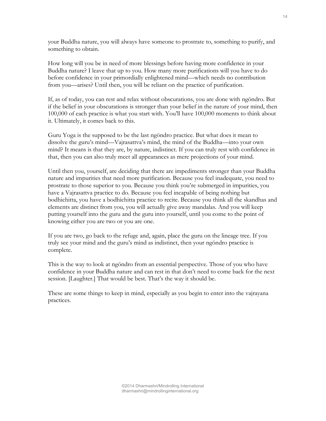your Buddha nature, you will always have someone to prostrate to, something to purify, and something to obtain.

How long will you be in need of more blessings before having more confidence in your Buddha nature? I leave that up to you. How many more purifications will you have to do before confidence in your primordially enlightened mind—which needs no contribution from you—arises? Until then, you will be reliant on the practice of purification.

If, as of today, you can rest and relax without obscurations, you are done with ngöndro. But if the belief in your obscurations is stronger than your belief in the nature of your mind, then 100,000 of each practice is what you start with. You'll have 100,000 moments to think about it. Ultimately, it comes back to this.

Guru Yoga is the supposed to be the last ngöndro practice. But what does it mean to dissolve the guru's mind—Vajrasattva's mind, the mind of the Buddha—into your own mind? It means is that they are, by nature, indistinct. If you can truly rest with confidence in that, then you can also truly meet all appearances as mere projections of your mind.

Until then you, yourself, are deciding that there are impediments stronger than your Buddha nature and impurities that need more purification. Because you feel inadequate, you need to prostrate to those superior to you. Because you think you're submerged in impurities, you have a Vajrasattva practice to do. Because you feel incapable of being nothing but bodhichitta, you have a bodhichitta practice to recite. Because you think all the skandhas and elements are distinct from you, you will actually give away mandalas. And you will keep putting yourself into the guru and the guru into yourself, until you come to the point of knowing either you are two or you are one.

If you are two, go back to the refuge and, again, place the guru on the lineage tree. If you truly see your mind and the guru's mind as indistinct, then your ngöndro practice is complete.

This is the way to look at ngöndro from an essential perspective. Those of you who have confidence in your Buddha nature and can rest in that don't need to come back for the next session. [Laughter.] That would be best. That's the way it should be.

These are some things to keep in mind, especially as you begin to enter into the vajrayana practices.